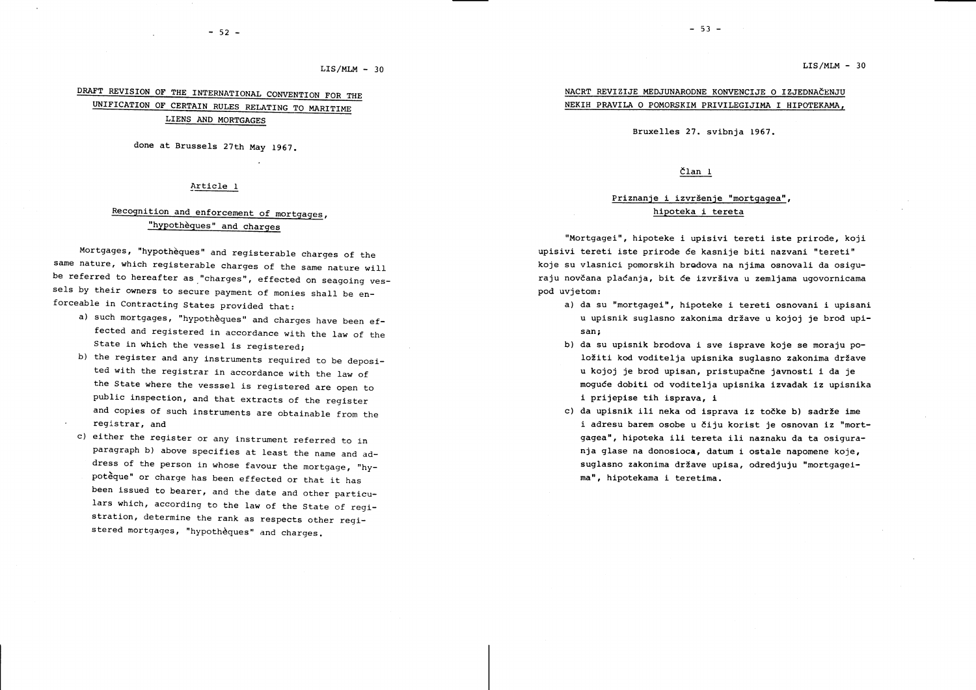$LIS/MLM - 30$ 

## $-52 -$

## $LIS/MLM - 30$

# DRAFT REVISION OF THE INTERNATIONAL CONVENTION FOR THE UNTFICATION OF CERTAIN RULES RELATTNG TO MARTTTME LIENS AND MORTGAGES

done at Brussels 27th May 1967.

## Article 1

# Recognition and enforcement of mortgages, "hypothèques" and charges

Mortgages, "hypothèques" and registerable charges of the<br>same nature, which registerable charges of the same nature will be referred to hereafter as "charges", effected on seagoing vessels by their owners to secure payment of monies shall be enforceable in contracting states provided that:

- a) such mortgages, "hypothèques" and charges have been effected and registered in accordance with the law of the State in which the vessel is registered;
- b) the register and any instruments required to be deposited with the registrar in accordance with the law of the State where the vesssel is registered are open to public inspection, and that extracts of the register and copies of such instruments are obtainable from the . registrar, and
- c) either the register or any instrument referred to in paragraph b) above specifies at least the name and address of the person in whose favour the mortgage, "hypoteque" or charge has been effected or that it has been issued to bearer, and the date and other particulars which, according to the law of the State of registration, determine the rank as respects other registered mortgages, "hypotheques" and charges.

<u>NACRT REVIZIJE MEDJUNARODNE KONVENCIJE O IZJEDNAČENJ</u> NEKIH PRAVILA O POMORSKIM PRIVILEGIJIMA I HIPOTEKAMA.

Bruxelles 27. svibnia 1967.

## član 1

# Priznanje i izvršenje "mortgagea", hipoteka i tereta

"Mortgagei", hipoteke i upisivi tereti iste prirode, koji upisivi tereti iste prirode će kasnije biti nazvani "tereti" koje su vlasnici pomorskih bradova na njima osnovali da osiguraju novčana plaćanja, bit će izvršiva u zemljama ugovornicama pod uvjetom:

- a) da su "mortgagei", hipoteke i tereti osnovani i upisani u upisnik suglasno zakonima države u kojoj je brod upisan i
- b) da su upisnik brodova i sve isprave koje se moraju položiti kod voditelja upisnika suglasno zakonima države u kojoj je brod upisan, pristupačne javnosti i da je moguće dobiti od voditelja upisnika izvadak iz upisnika i prijepise tih isprava, I
- c) da upisnik ili neka od isprava iz točke b) sadrže ime i adresu barem osobe u čiju korist je osnovan iz "mortgagea", hlpoteka ili tereta ili naznaku da ta osiguranja glase na donosloca, datum i ostale napomene koje, suglasno zakonima države upisa, odredjuju "mortgageima", hipotekama i teretima.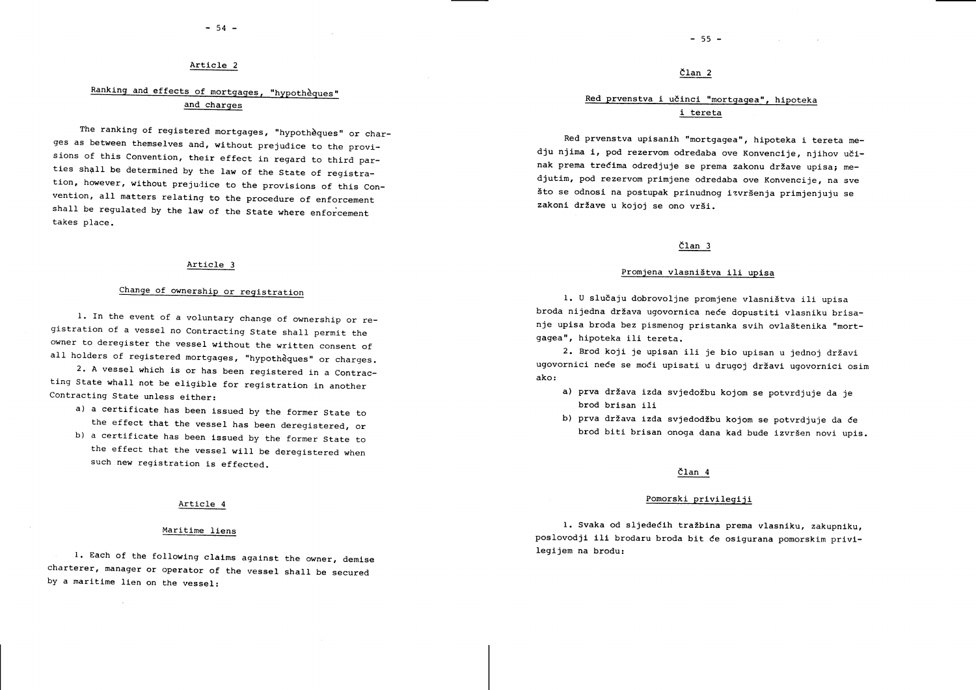## Article <sup>2</sup>

# Ranking and effects of mortgages, "hypothèques" and charges

The ranking of registered mortgages, "hypotheques" or charges as between themselves and, without prejudice to the provisions of this Convention, their effect in regard to third parties shall be determined by the law of the State of registration, however, without prejudice to the provisions of this Convention, all matters relating to the procedure of enforcement shall be requlated by the law of the State where enforcement takes place.

## Article <sup>3</sup>

# Change of ownership or registration

1. In the event of a voluntary change of ownership or registration of a vessel no Contracting State shall permit the owner to deregister the vessel wlthout the written consent of all holders of registered mortgages, "hypotheques" or charges.

2. A vessel which is or has been registered in a Contracting State whall not be eligible for registration in another Contracting State unless either:

- a) a certificate has been lssued by the former state to the effect that the vessel has been deregistered, or
- b) a certificate has been issued by the former State to the effect that the vessel will be deregistered when such new registration is effected.

## Article 4

## Maritime liens

l. Each of the following claims against the owner, demise state the second controlling the second legijem na brodu: charterer, manager or operator of the vessel shaIl be secured by a maritime lien on the vessel:

## član 2

# Red prvenstva i učinci "mortgagea", hipoteka i tereta

Red prvenstva upisanih "mortgagea", hipoteka i tereta medju njima i, pod rezervom odredaba ove Konvencije, njihov učinak prema trećima odredjuje se prema zakonu države upisa; mediutim, pod rezervom primiene odredaba ove Konvencije, na sve što se odnosi na postupak prinudnog izvršenja primjenjuju se zakoni države u kojoj se ono vrši.

## član 3

## Promjena vlasništva ili upisa

1. U slučaju dobrovoljne promjene vlasništva ili upisa broda nijedna država ugovornica neće dopustiti vlasniku brisanje upisa broda bez pismenog pristanka svih ovlaštenika "mortgagea", hipoteka ili tereta.

2. Brod koji je upisan ili je bio upisan u jednoj državi ugovornici neće se moći upisati u drugoj državi ugovornici osim ako:

- a) prva država izda svjedožbu kojom se potvrdjuje da je brod brisan ili
- b) prva država izda svjedodžbu kojom se potvrdjuje da će brod biti brisan onoga dana kad bude izvršen novi upis.

## dlan <sup>4</sup>

## Pomorski privilegiji

1. Svaka od sljedećih tražbina prema vlasniku, zakupniku, poslovodjl 111 brodaru broda bit Ce oslgurana pomorskim privl-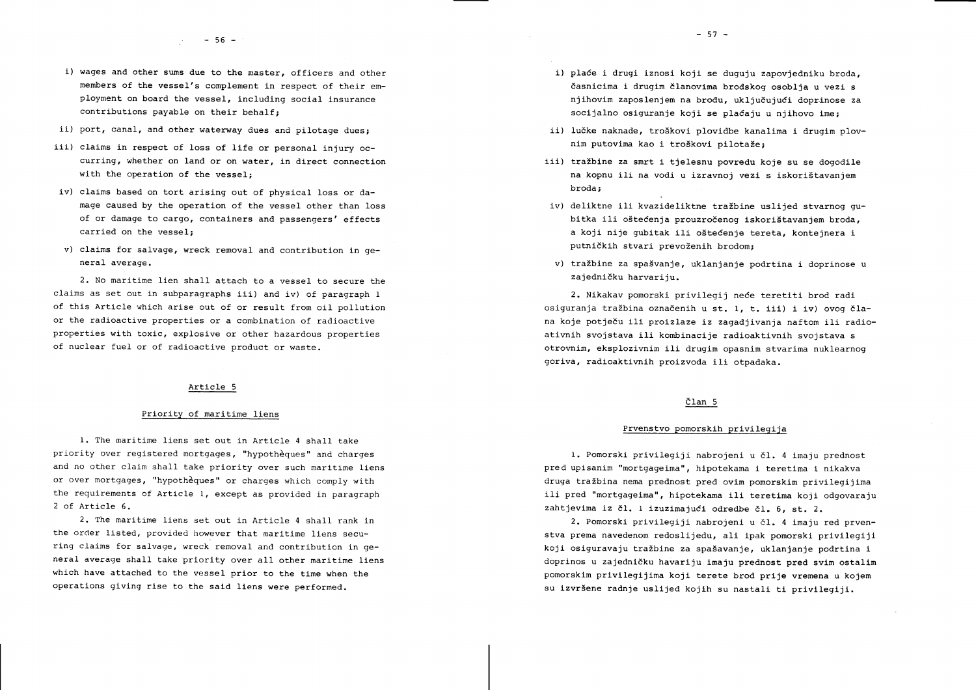- i) wages and other sums due to the master, officers and other members of the vessel's complement in respect of their employment on board the vessel, including social insurance contributions payable on their behalf:
- ii) port, canal, and other waterway dues and pilotage dues;
- iii) claims in respect of loss of life or personal injury occurring, whether on land or on water, in direct connection with the operation of the vessel;
- iv) claims based on tort arising out of physical loss or damage caused by the operation of the vessel other than loss of or damage to cargo, containers and passengers' effects carried on the vessel;
- v) claims for salvage, wreck removal and contribution in general average.

2. No maritime lien shall attach to a vessel to secure the claims as set out in subparagraphs iii) and iv) of paragraph  $1$ of this Article which arise out of or result from oil pollution or the radioactive properties or a combination of radioactive properties with toxic, explosive or other hazardous properties of nuclear fuel or of radioactive product or waste.

## Article 5

## Priority of maritime liens

1. The maritime liens set out in Article 4 shall take priority over registered mortgages, "hypothèques" and charges and no other claim shall take priority over such maritime liens or over mortgages, "hypothèques" or charges which comply with the requirements of Article I, except as provided in paragraph 2 of Article 6.

2. The maritime liens set out in Article 4 shall rank in the order listed, provided however that maritime liens securing claims for salvage, wreck removal and contribution in general average shall take priority over all other maritime liens which have attached to the vessel prior to the time when the operations giving rise to the said liens were performed.

- i) place i drugi iznosi koji se duguju zapovjedniku broda. časnicima i drugim članovima brodskog osoblja u vezi s niihovim zaposlenjem na brodu, uključujući doprinose za socijalno osiguranje koji se plaćaju u njihovo ime;
- ii) lučke naknade, troškovi plovidbe kanalima i drugim plovnim putovima kao i troškovi pilotaže;
- iii) tražbine za smrt i tjelesnu povredu koje su se dogodile na kopnu ili na vodi u izravnoj vezi s iskorištavanjem broda
- iv) deliktne ili kvazideliktne tražbine uslijed stvarnog qubitka ili oštećenja prouzročenog iskorištavanjem broda. a koji nije gubitak lli o5tedenje tereta, kontejnera i putničkih stvari prevoženih brodom:
- v) tražbine za spašvanje, uklanjanje podrtina i doprinose u zajedničku harvariju.

2. Nikakav pomorski privilegij neće teretiti brod radi osiguranja traZbina oznadenih u st. l, t. iii) i iv) ovog 61ana koje potječu ili proizlaze iz zagadjivanja naftom ili radioativnih svojstava ili kombinacije radioaktivnih svojstava <sup>s</sup> otrovnim, eksplozivnim ili drugim opasnim stvarima nuklearnog goriva, radioaktivnih proizvoda ili otpadaka.

## $\text{C}$ lan 5

## Prvenstvo pomorskih privileqija

1. Pomorski privilegiji nabrojeni u čl. 4 imaju prednost pred upisanim "mortgageima", hipotekama i teretima i nikakva druga tražbina nema prednost pred ovim pomorskim privilegijima ili pred "mortgagelma", hipotekama ili teretima koji odgovaraju zahtjevima iz čl. l izuzimajući odredbe čl. 6, st. 2.

2. Pomorski prtvllegijl nabrojenl u dI. 4 lmaju red prvenstva prema navedenom redoslijedu, ali ipak pomorski privilegiji koji osiguravaju tražbine za spašavanje, uklanjanje podrtina i doprinos u zajedničku havariju imaju prednost pred svim ostalim pomorskim privilegijima koji terete brod prije vremena u kojem su izvršene radnje uslijed kojih su nastali ti privilegiji.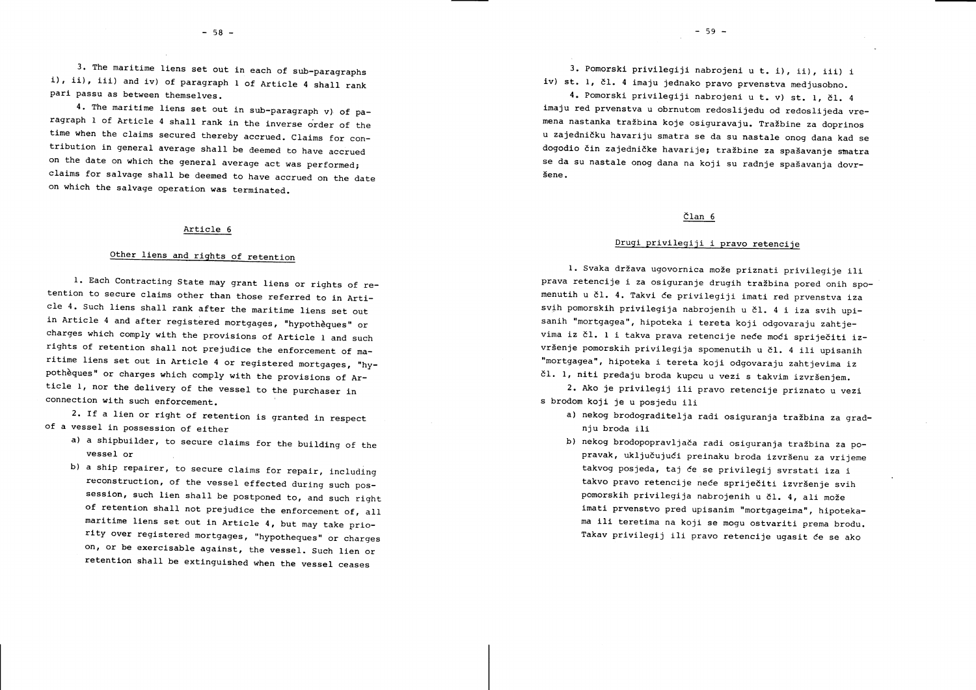3. The maritime liens set out in each of sub-paragraphs i), ii), iii) and iv) of paragraph 1 of Article 4 shall rank<br>pari passu as between themselves.<br>4. The maritime liens set out in sub-paragraph v) of pa-

ragraph 1 of Article 4 shall rank in the inverse order of the<br>time when the claims secured thereby accrued. Claims for con-<br>tribution in general average shall be deemed to have accrued on the date on which the general average act was performed; claims for salvage shall be deemed to have accrued on the date on which the salvage operation was terminated.

## Article 6

# Other liens and rights of retention

1. Each Contracting State may grant liens or rights of re-<br>tention to secure claims other than those referred to in Arti-<br>cle 4. Such liens shall rank after the maritime liens set out<br>in Article 4 and after registered mort rights of retention shall not prejudice the enforcement of ma-<br>ritime liens set out in Article 4 or registered mortgages, "hy-<br>pothèques" or charges which comply with the provisions of Article 1, nor the delivery of the vessel to the purchaser in connection with such enforcement.

2. If a lien or right of retention is granted in respect of a vessel in possession of either

- a) a shipbuilder, to secure claims for the building of the vessel or
- b) a ship repairer, to secure claims for repair, including reconstruction, of the vessel effected during such possession, such lien shall be postponed to, and such right of retention shall not prejudice the enforcement of, all maritime liens set out in Article  $4$ , but may take priority over registered mortgages, "hypotheques" or charges<br>on, or be exercisable against, the vessel. Such lien or retention shall be extinguished when the vessel ceases

3. Pomorski prlvilegiji nabrojeni u t. i), li), iii) i iv) st. 1, čl. 4 imaju jednako pravo prvenstva medjusobno.

4. Pomorski privilegiji nabrojeni u t. v) st. 1, čl. 4 imaju red prvenstva u obrnutom redoslijedu od redoslijeda vremena nastanka tražbina koje osiguravaju. Tražbine za doprinos u zajednidku havariju smatra se da su nastale onog dana kad se dogodio čin zajedničke havarije; tražbine za spašavanje smatra se da su nastale onog dana na koji su radnje spašavanja dovr-Sene.

## član 6

## Drugi privilegiji i pravo retencije

1. Svaka država ugovornica može priznati privilegije ili prava retencije i za osiguranje drugih tražbina pored onih spomenutih u čl. 4. Takvi će privilegiji imati red prvenstva iza svih pomorskih privilegija nabrojenih u čl. 4 i iza svih upisanih "mortgagea", hipoteka i tereta koji odgovaraju zahtjevima iz čl. l i takva prava retencije neće moći spriječiti izvršenje pomorskih privilegija spomenutih u čl. 4 ili upisanih "mortgag€€I", hipoteka i tereta koji odgovaraju zahtjevima iz čl. 1, niti predaju broda kupcu u vezi s takvim izvršenjem.

2. Ako je privilegij ili pravo retencije priznato u vezi s brodom kojl je u posjedu ili

a) nekog brodograditelja radi osiguranja tražbina za gradnju broda ili

b) nekog brodopopravljada radi osiguranja trazbina za popravak, uključujući preinaku broda izvršenu za vrijeme takvog posjeda, taj će se privilegij svrstati iza i takvo pravo retencije neće spriječiti izvršenje svih pomorskih privilegija nabrojenih u čl. 4, ali može imati prvenstvo pred upisanim "mortgageima", hipotekama 111 teretima na koii se mogu ostvarlti prema brodu. Takav privilegij ili pravo retencije ugasit će se ako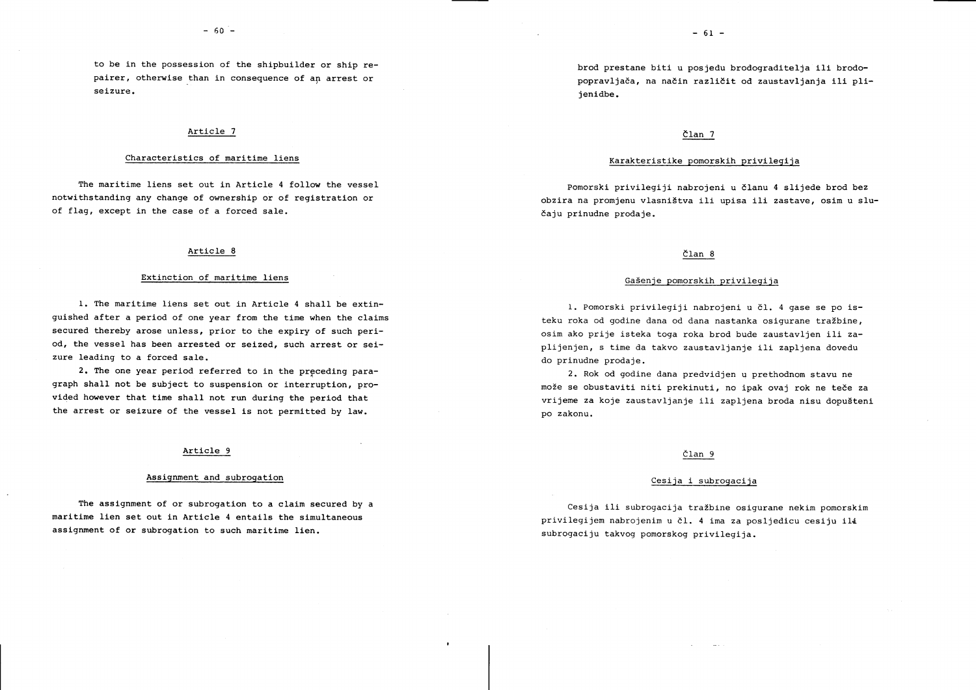to be in the possession of the shipbuilder or ship repairer, otherwise than in consequence of an arrest or seizure.

# Article 7 de de de la contrada de la contrada de la contrada de la contrada de la contrada de la contrada de l<br>De la contrada de la contrada de la contrada de la contrada de la contrada de la contrada de la contrada de la

The maritime liens set out in Article 4 follow the vessel ponorski privilegiji nabrojeni u članu 4 slijede brod bez of flag, except in the case of a forced sale. Each metal control of the case of a forced sale.

# Article 8 and 2011 and 2012 and 2013 and 2014 and 2014 and 2014 and 2014 and 2014 and 2014 and 2014 and 2014 and 2014 and 2014 and 2014 and 2014 and 2014 and 2014 and 2014 and 2014 and 2014 and 2014 and 2014 and 2014 and 2

# Extinction of maritime liens and the set of the control of maritime liens of the set of the control of maritime liens of the control of maritime liens of the control of maritime in the control of the control of the control

1. The maritime liens set out in Article 4 shall be extinguished after a period of one year from the time when the claims secured thereby arose unless, prior to the expiry of such period, the vessel has been arrested or seized, such arrest or seizure leading to a forced sale.

2. The one year period referred to in the preceding paragraph shall not be subject to suspension or interruption, provided however that time shall not run during the period that the arrest or seizure of the vessel is not permitted by law.

# Article 9 elan 9 elan 9 elan 9 elan 9 elan 9 elan 9 elan 9 elan 9 elan 9 elan 9 elan 9 elan 9 elan 9 elan 9 elan 9 elan 9 elan 9 elan 9 elan 9 elan 9 elan 9 elan 9 elan 9 elan 9 elan 9 elan 9 elan 9 elan 9 elan 9 elan 9 el

# Assignment and subrogation exercises are considered to the Cesija i subrogacija

The assignment of or subrogation to a claim secured by a cesija ili subrogacija tražbine osigurane nekim pomorskim<br>maritime lien set out in Article 4 entails the simultaneous expression and privilegion paracological and in assignment of or subrogation to such maritime lien. Sub example and the subrogaciju takvog pomorskog privilegija.

# Characteristics of maritime liens experience of the liens of maritime liens of the liens of maritime liens of the strain privilegies of the strain privilegies of maritime liens of the strain privilegies of the strain privi

notwithstanding any change of ownership or of registration or obzira na promienu vlasništva ili upisa ili zastave, osim u slu-

1. Pomorski privilegiji nabrojeni u čl. 4 gase se po isteku roka od godine dana od dana nastanka osigurane tražbine, osim ako prije isteka toga roka brod bude zaustavljen ili zaplijenjen, s time da takvo zaustavljanje ili zapljena dovedu do prinudne prodaje.

2. Rok od godine dana predvidjen u prethodnom stavu ne može se obustaviti niti prekinuti, no ipak ovaj rok ne teče za vrijeme za koje zaustavljanje ili zapljena broda nisu dopušteni po zakonu.

privilegijem nabrojenim u čl. 4 ima za posljedicu cesiju ili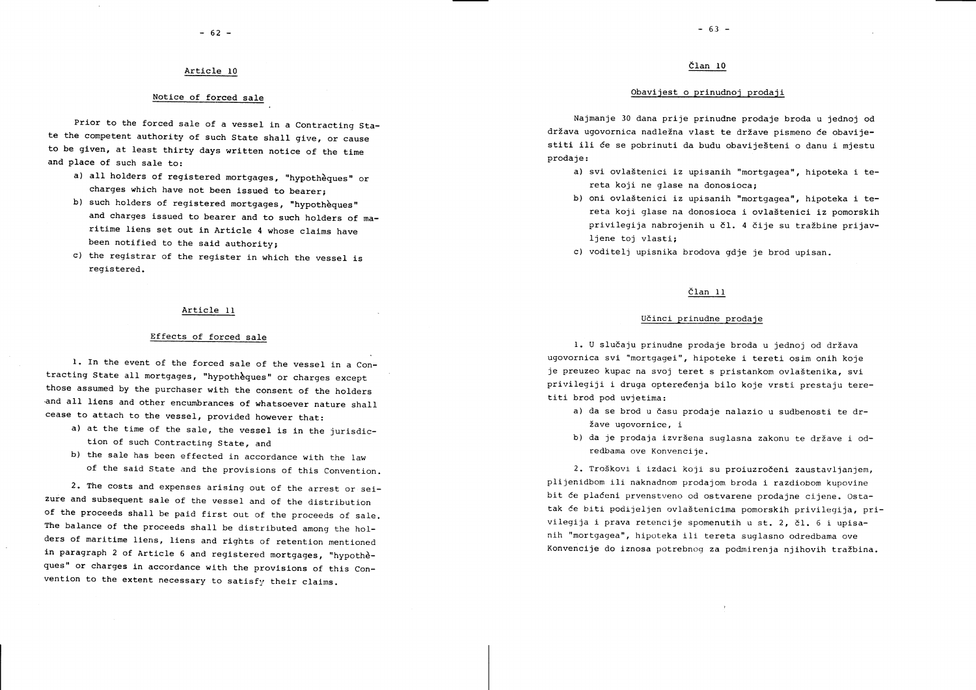## Article 10

## Notice of forced sale

Prior to the forced sale of a vessel in a Contracting State the competent authority of such State shall give, or cause to be given, at least thirty days written notice of the time and place of such sale to:

- a) all holders of registered mortgages, "hypothèques" or charges which have not been issued to bearer;
- b) such holders of registered mortgages, "hypothèques" and charges issued to bearer and to such holders of maritime liens set out in Article 4 whose claims have been notified to the said authority;
- c) the registrar of the register in which the vessel is registered.

## Article II

## Effects of forced sale

1. In the event of the forced sale of the vessel in a Contracting State all mortgages, "hypotheques" or charges except those assumed by the purchaser with the consent of the holders and all liens and other encumbrances of whatsoever nature shall cease to attach to the vessel, provided however that:

- a) at the time of the sale, the vessel is in the jurisdiction of such Contracting State, and
- b) the sale has been effected in accordance with the law of the sald State and the provisions of this Convention.

2. The costs and expenses arising out of the arrest or seizure and subsequent sale of the vessel and of the distribution of the proceeds shall be paid first out of the proceeds of sale. The balance of the proceeds shall be distrlbuted among the holders of maritime llens, Iiens and rlghts of retention mentioned in paragraph 2 of Article 6 and registered mortgages, "hypothèques" or charges ln accordance wlth the provlslons of this Convention to the extent necessary to satisfy their claims.

## Član 10

## Obavijest o prinudnoi prodaji

Najmanje 30 dana prije prinudne prodaje broda u jednoj od država ugovornica nadležna vlast te države pismeno će obavijestiti ili će se pobrinuti da budu obaviješteni o danu i mjestu prodaje:

- a) svi ovlaštenici iz upisanih "mortgagea", hipoteka i tereta koji ne glase na donosioca:
- b) oni ovlaštenici iz upisanih "mortgagea", hipoteka i tereta koji glase na donosioca i ovlaštenici iz pomorskih privilegija nabrojenih u čl. 4 čije su tražbine prijavljene toj vlasti:
- c) voditelj upisnika brodova gdje je brod upisan.

# <u>član 11</u>

### U6inci prinudne prodaje

1. U slučaju prinudne prodaje broda u jednoj od država ugovornica svi "mortgagei", hipoteke i tereti osim onih koje je preuzeo kupac na svoj teret s pristankom ovlaštenika, svi privilegiji i druga optereCenja bilo koje vrsti prestaju teretiti brod pod uvjetima:

- a) da se brod u času prodaje nalazio u sudbenosti te dr-Zave ugovornice, i
- b) da je prodaja izvršena suglasna zakonu te države i odredbama ove Konvencije.

2. TroSkovi i izdaci koji su proiuzrodeni zaustavljanjem, plijenldbom i1i naknadnom prodajom broda i razdiobom kupovine bit će plaćeni prvenstveno od ostvarene prodajne cijene. Ostatak će biti podijeljen ovlaštenicima pomorskih privilegija, privilegija i prava retencije spomenutih u st. 2, čl. 6 i upisanih "mortgagea", hipoteka ili tereta suglasno odredbama ove Konvencije do iznosa potrebnog za podmirenja njihovih tražbina.